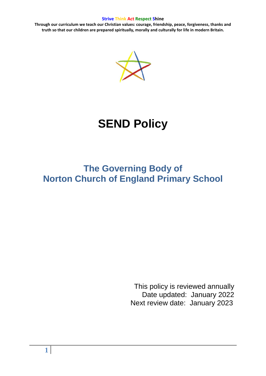**Through our curriculum we teach our Christian values: courage, friendship, peace, forgiveness, thanks and truth so that our children are prepared spiritually, morally and culturally for life in modern Britain.**



# **SEND Policy**

# **The Governing Body of Norton Church of England Primary School**

This policy is reviewed annually Date updated: January 2022 Next review date: January 2023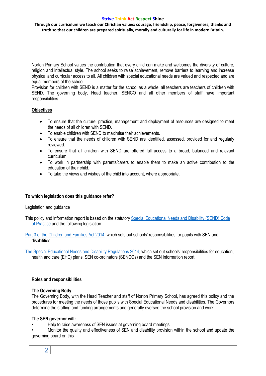**Through our curriculum we teach our Christian values: courage, friendship, peace, forgiveness, thanks and truth so that our children are prepared spiritually, morally and culturally for life in modern Britain.**

Norton Primary School values the contribution that every child can make and welcomes the diversity of culture, religion and intellectual style. The school seeks to raise achievement, remove barriers to learning and increase physical and curricular access to all. All children with special educational needs are valued and respected and are equal members of the school.

Provision for children with SEND is a matter for the school as a whole; all teachers are teachers of children with SEND. The governing body, Head teacher, SENCO and all other members of staff have important responsibilities.

# **Objectives**

- To ensure that the culture, practice, management and deployment of resources are designed to meet the needs of all children with SEND.
- To enable children with SEND to maximise their achievements.
- To ensure that the needs of children with SEND are identified, assessed, provided for and regularly reviewed.
- To ensure that all children with SEND are offered full access to a broad, balanced and relevant curriculum.
- To work in partnership with parents/carers to enable them to make an active contribution to the education of their child.
- To take the views and wishes of the child into account, where appropriate.

# **To which legislation does this guidance refer?**

# Legislation and guidance

This policy and information report is based on the statutor[y Special Educational Needs and Disability \(SEND\) Code](https://www.gov.uk/government/uploads/system/uploads/attachment_data/file/398815/SEND_Code_of_Practice_January_2015.pdf)  [of Practice](https://www.gov.uk/government/uploads/system/uploads/attachment_data/file/398815/SEND_Code_of_Practice_January_2015.pdf) and the following legislation:

[Part 3 of the Children and Families Act 2014](http://www.legislation.gov.uk/ukpga/2014/6/part/3), which sets out schools' responsibilities for pupils with SEN and disabilities

[The Special Educational Needs and Disability Regulations 2014](http://www.legislation.gov.uk/uksi/2014/1530/contents/made), which set out schools' responsibilities for education, health and care (EHC) plans, SEN co-ordinators (SENCOs) and the SEN information report

# **Roles and responsibilities**

#### **The Governing Body**

The Governing Body, with the Head Teacher and staff of Norton Primary School, has agreed this policy and the procedures for meeting the needs of those pupils with Special Educational Needs and disabilities. The Governors determine the staffing and funding arrangements and generally oversee the school provision and work.

# **The SEN governor will:**

• Help to raise awareness of SEN issues at governing board meetings

• Monitor the quality and effectiveness of SEN and disability provision within the school and update the governing board on this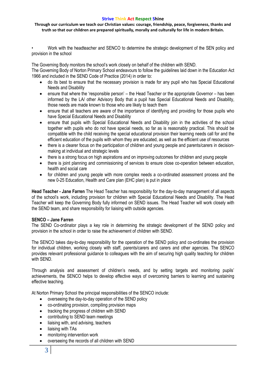**Through our curriculum we teach our Christian values: courage, friendship, peace, forgiveness, thanks and truth so that our children are prepared spiritually, morally and culturally for life in modern Britain.**

• Work with the headteacher and SENCO to determine the strategic development of the SEN policy and provision in the school

The Governing Body monitors the school's work closely on behalf of the children with SEND.

The Governing Body of Norton Primary School endeavours to follow the guidelines laid down in the Education Act 1966 and included in the SEND Code of Practice (2014) in order to:

- do its best to ensure that the necessary provision is made for any pupil who has Special Educational Needs and Disability
- ensure that where the 'responsible person' the Head Teacher or the appropriate Governor has been informed by the LA/ other Advisory Body that a pupil has Special Educational Needs and Disability, those needs are made known to those who are likely to teach them
- ensure that all teachers are aware of the importance of identifying and providing for those pupils who have Special Educational Needs and Disability
- ensure that pupils with Special Educational Needs and Disability join in the activities of the school together with pupils who do not have special needs, so far as is reasonably practical. This should be compatible with the child receiving the special educational provision their learning needs call for and the efficient education of the pupils with whom they are educated, as well as the efficient use of resources
- there is a clearer focus on the participation of children and young people and parents/carers in decisionmaking at individual and strategic levels
- there is a strong focus on high aspirations and on improving outcomes for children and young people
- there is joint planning and commissioning of services to ensure close co-operation between education, health and social care
- for children and young people with more complex needs a co-ordinated assessment process and the new 0-25 Education, Health and Care plan (EHC plan) is put in place

**Head Teacher - Jane Farren** The Head Teacher has responsibility for the day-to-day management of all aspects of the school's work, including provision for children with Special Educational Needs and Disability. The Head Teacher will keep the Governing Body fully informed on SEND issues. The Head Teacher will work closely with the SEND team, and share responsibility for liaising with outside agencies.

# **SENCO – Jane Farren**

The SEND Co-ordinator plays a key role in determining the strategic development of the SEND policy and provision in the school in order to raise the achievement of children with SEND.

The SENCO takes day-to-day responsibility for the operation of the SEND policy and co-ordinates the provision for individual children, working closely with staff, parents/carers and carers and other agencies. The SENCO provides relevant professional guidance to colleagues with the aim of securing high quality teaching for children with SEND.

Through analysis and assessment of children's needs, and by setting targets and monitoring pupils' achievements, the SENCO helps to develop effective ways of overcoming barriers to learning and sustaining effective teaching.

At Norton Primary School the principal responsibilities of the SENCO include:

- overseeing the day-to-day operation of the SEND policy
- co-ordinating provision, compiling provision maps
- tracking the progress of children with SEND
- contributing to SEND team meetings
- liaising with, and advising, teachers
- liaising with TAs
- monitoring intervention work
- overseeing the records of all children with SEND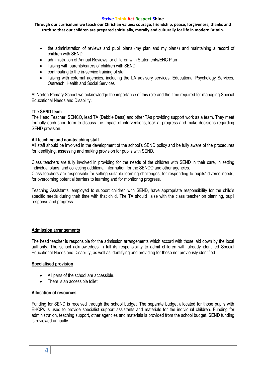**Through our curriculum we teach our Christian values: courage, friendship, peace, forgiveness, thanks and truth so that our children are prepared spiritually, morally and culturally for life in modern Britain.**

- the administration of reviews and pupil plans (my plan and my plan+) and maintaining a record of children with SEND
- administration of Annual Reviews for children with Statements/EHC Plan
- liaising with parents/carers of children with SEND
- contributing to the in-service training of staff
- liaising with external agencies, including the LA advisory services, Educational Psychology Services, Outreach, Health and Social Services

At Norton Primary School we acknowledge the importance of this role and the time required for managing Special Educational Needs and Disability.

#### **The SEND team**

The Head Teacher, SENCO, lead TA (Debbie Deas) and other TAs providing support work as a team. They meet formally each short term to discuss the impact of interventions, look at progress and make decisions regarding SEND provision.

#### **All teaching and non-teaching staff**

All staff should be involved in the development of the school's SEND policy and be fully aware of the procedures for identifying, assessing and making provision for pupils with SEND.

Class teachers are fully involved in providing for the needs of the children with SEND in their care, in setting individual plans, and collecting additional information for the SENCO and other agencies. Class teachers are responsible for setting suitable learning challenges, for responding to pupils' diverse needs, for overcoming potential barriers to learning and for monitoring progress.

Teaching Assistants, employed to support children with SEND, have appropriate responsibility for the child's specific needs during their time with that child. The TA should liaise with the class teacher on planning, pupil response and progress.

#### **Admission arrangements**

The head teacher is responsible for the admission arrangements which accord with those laid down by the local authority. The school acknowledges in full its responsibility to admit children with already identified Special Educational Needs and Disability, as well as identifying and providing for those not previously identified.

#### **Specialised provision**

- All parts of the school are accessible.
- There is an accessible toilet.

#### **Allocation of resources**

Funding for SEND is received through the school budget. The separate budget allocated for those pupils with EHCPs is used to provide specialist support assistants and materials for the individual children. Funding for administration, teaching support, other agencies and materials is provided from the school budget. SEND funding is reviewed annually.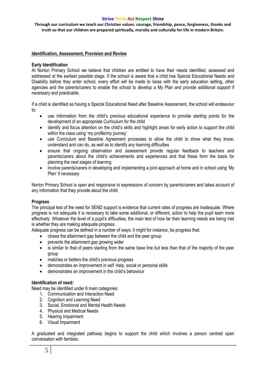**Through our curriculum we teach our Christian values: courage, friendship, peace, forgiveness, thanks and truth so that our children are prepared spiritually, morally and culturally for life in modern Britain.**

### **Identification, Assessment, Provision and Review**

#### **Early Identification**

At Norton Primary School we believe that children are entitled to have their needs identified, assessed and addressed at the earliest possible stage. If the school is aware that a child has Special Educational Needs and Disability before they enter school, every effort will be made to liaise with the early education setting, other agencies and the parents/carers to enable the school to develop a My Plan and provide additional support if necessary and practicable.

If a child is identified as having a Special Educational Need after Baseline Assessment, the school will endeavour to:

- use information from the child's previous educational experience to provide starting points for the development of an appropriate Curriculum for the child
- identify and focus attention on the child's skills and highlight areas for early action to support the child within the class using 'my profile/my journey'
- use Curriculum and Baseline Agreement processes to allow the child to show what they know, understand and can do, as well as to identify any learning difficulties
- ensure that ongoing observation and assessment provide regular feedback to teachers and parents/carers about the child's achievements and experiences and that these form the basis for planning the next stages of learning
- involve parents/carers in developing and implementing a joint approach at home and in school using 'My Plan' if necessary

Norton Primary School is open and responsive to expressions of concern by parents/carers and takes account of any information that they provide about the child.

#### **Progress**

The principal test of the need for SEND support is evidence that current rates of progress are inadequate. Where progress is not adequate it is necessary to take some additional, or different, action to help the pupil learn more effectively. Whatever the level of a pupil's difficulties, the main test of how far their learning needs are being met is whether they are making adequate progress.

Adequate progress can be defined in a number of ways: it might for instance, be progress that:

- closes the attainment gap between the child and the peer group
- prevents the attainment gap growing wider
- is similar to that of peers starting from the same base line but less than that of the majority of the peer group
- matches or betters the child's previous progress
- demonstrates an improvement in self -help, social or personal skills
- demonstrates an improvement in the child's behaviour

#### **Identification of need:**

Need may be identified under 6 main categories:

- 1. Communication and Interaction Need
- 2. Cognition and Learning Need
- 3. Social, Emotional and Mental Health Needs
- 4. Physical and Medical Needs
- 5. Hearing Impairment
- 6. Visual Impairment

A graduated and integrated pathway begins to support the child which involves a person centred open conversation with families: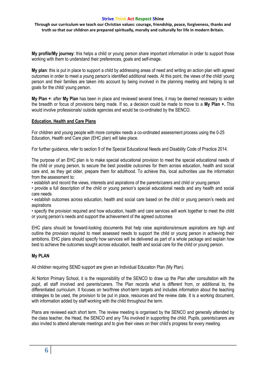**Through our curriculum we teach our Christian values: courage, friendship, peace, forgiveness, thanks and truth so that our children are prepared spiritually, morally and culturally for life in modern Britain.**

**My profile/My journey**: this helps a child or young person share important information in order to support those working with them to understand their preferences, goals and self-image.

**My plan**: this is put in place to support a child by addressing areas of need and writing an action plan with agreed outcomes in order to meet a young person's identified additional needs. At this point, the views of the child/ young person and their families are taken into account by being involved in the planning meeting and helping to set goals for the child/ young person.

**My Plan +**: after **My Plan** has been in place and reviewed several times, it may be deemed necessary to widen the breadth or focus of provisions being made. If so, a decision could be made to move to a **My Plan +.** This would involve professionals/ outside agencies and would be co-ordinated by the SENCO.

#### **Education, Health and Care Plans**

For children and young people with more complex needs a co-ordinated assessment process using the 0-25 Education, Health and Care plan (EHC plan) will take place.

For further guidance, refer to section 9 of the Special Educational Needs and Disability Code of Practice 2014.

The purpose of an EHC plan is to make special educational provision to meet the special educational needs of the child or young person, to secure the best possible outcomes for them across education, health and social care and, as they get older, prepare them for adulthood. To achieve this, local authorities use the information from the assessment to:

• establish and record the views, interests and aspirations of the parents/carers and child or young person

• provide a full description of the child or young person's special educational needs and any health and social care needs

• establish outcomes across education, health and social care based on the child or young person's needs and aspirations

• specify the provision required and how education, health and care services will work together to meet the child or young person's needs and support the achievement of the agreed outcomes

EHC plans should be forward-looking documents that help raise aspirations/ensure aspirations are high and outline the provision required to meet assessed needs to support the child or young person in achieving their ambitions. EHC plans should specify how services will be delivered as part of a whole package and explain how best to achieve the outcomes sought across education, health and social care for the child or young person.

# **My PLAN**

All children requiring SEND support are given an Individual Education Plan (My Plan).

At Norton Primary School, it is the responsibility of the SENCO to draw up the Plan after consultation with the pupil, all staff involved and parents/carers. The Plan records what is different from, or additional to, the differentiated curriculum. It focuses on two/three short-term targets and includes information about the teaching strategies to be used, the provision to be put in place, resources and the review date. It is a working document, with information added by staff working with the child throughout the term.

Plans are reviewed each short term. The review meeting is organised by the SENCO and generally attended by the class teacher, the Head, the SENCO and any TAs involved in supporting the child. Pupils, parents/carers are also invited to attend alternate meetings and to give their views on their child's progress for every meeting.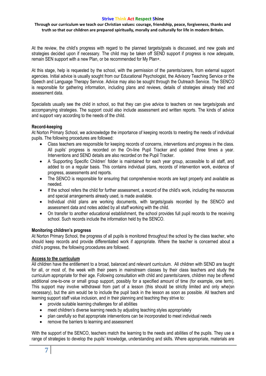**Through our curriculum we teach our Christian values: courage, friendship, peace, forgiveness, thanks and truth so that our children are prepared spiritually, morally and culturally for life in modern Britain.**

At the review, the child's progress with regard to the planned targets/goals is discussed, and new goals and strategies decided upon if necessary. The child may be taken off SEND support if progress is now adequate, remain SEN support with a new Plan, or be recommended for My Plan+.

At this stage, help is requested by the school, with the permission of the parents/carers, from external support agencies. Initial advice is usually sought from our Educational Psychologist, the Advisory Teaching Service or the Speech and Language Therapy Service. Advice may also be sought through the Outreach Service. The SENCO is responsible for gathering information, including plans and reviews, details of strategies already tried and assessment data.

Specialists usually see the child in school, so that they can give advice to teachers on new targets/goals and accompanying strategies. The support could also include assessment and written reports. The kinds of advice and support vary according to the needs of the child.

# **Record-keeping**

At Norton Primary School, we acknowledge the importance of keeping records to meeting the needs of individual pupils. The following procedures are followed:

- Class teachers are responsible for keeping records of concerns, interventions and progress in the class. All pupils' progress is recorded on the On-line Pupil Tracker and updated three times a year. Interventions and SEND details are also recorded on the Pupil Tracker.
- A 'Supporting Specific Children' folder is maintained for each year group, accessible to all staff, and added to on a regular basis. This contains individual plans, records of intervention work, evidence of progress, assessments and reports.
- The SENCO is responsible for ensuring that comprehensive records are kept properly and available as needed.
- If the school refers the child for further assessment, a record of the child's work, including the resources and special arrangements already used, is made available.
- Individual child plans are working documents, with targets/goals recorded by the SENCO and assessment data and notes added by all staff working with the child.
- On transfer to another educational establishment, the school provides full pupil records to the receiving school. Such records include the information held by the SENCO.

# **Monitoring children's progress**

At Norton Primary School, the progress of all pupils is monitored throughout the school by the class teacher, who should keep records and provide differentiated work if appropriate. Where the teacher is concerned about a child's progress, the following procedures are followed.

# **Access to the curriculum**

All children have the entitlement to a broad, balanced and relevant curriculum. All children with SEND are taught for all, or most of, the week with their peers in mainstream classes by their class teachers and study the curriculum appropriate for their age. Following consultation with child and parents/carers, children may be offered additional one-to-one or small group support, possibly for a specified amount of time (for example, one term). This support may involve withdrawal from part of a lesson (this should be strictly limited and only whe(sn necessary), but the aim would be to include the pupil back in the lesson as soon as possible. All teachers and learning support staff value inclusion, and in their planning and teaching they strive to:

- provide suitable learning challenges for all abilities
- meet children's diverse learning needs by adjusting teaching styles appropriately
- plan carefully so that appropriate interventions can be incorporated to meet individual needs
- remove the barriers to learning and assessment

With the support of the SENCO, teachers match the learning to the needs and abilities of the pupils. They use a range of strategies to develop the pupils' knowledge, understanding and skills. Where appropriate, materials are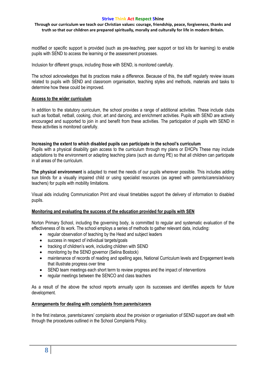**Through our curriculum we teach our Christian values: courage, friendship, peace, forgiveness, thanks and truth so that our children are prepared spiritually, morally and culturally for life in modern Britain.**

modified or specific support is provided (such as pre-teaching, peer support or tool kits for learning) to enable pupils with SEND to access the learning or the assessment processes.

Inclusion for different groups, including those with SEND, is monitored carefully.

The school acknowledges that its practices make a difference. Because of this, the staff regularly review issues related to pupils with SEND and classroom organisation, teaching styles and methods, materials and tasks to determine how these could be improved.

#### **Access to the wider curriculum**

In addition to the statutory curriculum, the school provides a range of additional activities. These include clubs such as football, netball, cooking, choir, art and dancing, and enrichment activities. Pupils with SEND are actively encouraged and supported to join in and benefit from these activities. The participation of pupils with SEND in these activities is monitored carefully.

#### **Increasing the extent to which disabled pupils can participate in the school's curriculum**

Pupils with a physical disability gain access to the curriculum through my plans or EHCPs These may include adaptations to the environment or adapting teaching plans (such as during PE) so that all children can participate in all areas of the curriculum.

**The physical environment** is adapted to meet the needs of our pupils wherever possible. This includes adding sun blinds for a visually impaired child or using specialist resources (as agreed with parents/carers/advisory teachers) for pupils with mobility limitations.

Visual aids including Communication Print and visual timetables support the delivery of information to disabled pupils.

# **Monitoring and evaluating the success of the education provided for pupils with SEN**

Norton Primary School, including the governing body, is committed to regular and systematic evaluation of the effectiveness of its work. The school employs a series of methods to gather relevant data, including:

- regular observation of teaching by the Head and subject leaders
- success in respect of individual targets/goals
- tracking of children's work, including children with SEND
- monitoring by the SEND governor (Selina Bostock)
- maintenance of records of reading and spelling ages, National Curriculum levels and Engagement levels that illustrate progress over time
- SEND team meetings each short term to review progress and the impact of interventions
- regular meetings between the SENCO and class teachers

As a result of the above the school reports annually upon its successes and identifies aspects for future development.

# **Arrangements for dealing with complaints from parents/carers**

In the first instance, parents/carers' complaints about the provision or organisation of SEND support are dealt with through the procedures outlined in the School Complaints Policy.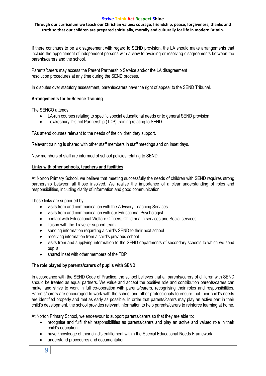**Through our curriculum we teach our Christian values: courage, friendship, peace, forgiveness, thanks and truth so that our children are prepared spiritually, morally and culturally for life in modern Britain.**

If there continues to be a disagreement with regard to SEND provision, the LA should make arrangements that include the appointment of independent persons with a view to avoiding or resolving disagreements between the parents/carers and the school.

Parents/carers may access the Parent Partnership Service and/or the LA disagreement resolution procedures at any time during the SEND process.

In disputes over statutory assessment, parents/carers have the right of appeal to the SEND Tribunal.

# **Arrangements for In-Service Training**

The SENCO attends:

- LA-run courses relating to specific special educational needs or to general SEND provision
- Tewkesbury District Partnership (TDP) training relating to SEND

TAs attend courses relevant to the needs of the children they support.

Relevant training is shared with other staff members in staff meetings and on Inset days.

New members of staff are informed of school policies relating to SEND.

#### **Links with other schools, teachers and facilities**

At Norton Primary School, we believe that meeting successfully the needs of children with SEND requires strong partnership between all those involved. We realise the importance of a clear understanding of roles and responsibilities, including clarity of information and good communication.

These links are supported by:

- visits from and communication with the Advisory Teaching Services
- visits from and communication with our Educational Psychologist
- contact with Educational Welfare Officers, Child health services and Social services
- liaison with the Traveller support team
- sending information regarding a child's SEND to their next school
- receiving information from a child's previous school
- visits from and supplying information to the SEND departments of secondary schools to which we send pupils
- shared Inset with other members of the TDP

# **The role played by parents/carers of pupils with SEND**

In accordance with the SEND Code of Practice, the school believes that all parents/carers of children with SEND should be treated as equal partners. We value and accept the positive role and contribution parents/carers can make, and strive to work in full co-operation with parents/carers, recognising their roles and responsibilities. Parents/carers are encouraged to work with the school and other professionals to ensure that their child's needs are identified properly and met as early as possible. In order that parents/carers may play an active part in their child's development, the school provides relevant information to help parents/carers to reinforce learning at home.

At Norton Primary School, we endeavour to support parents/carers so that they are able to:

- recognise and fulfil their responsibilities as parents/carers and play an active and valued role in their child's education
- have knowledge of their child's entitlement within the Special Educational Needs Framework
- understand procedures and documentation